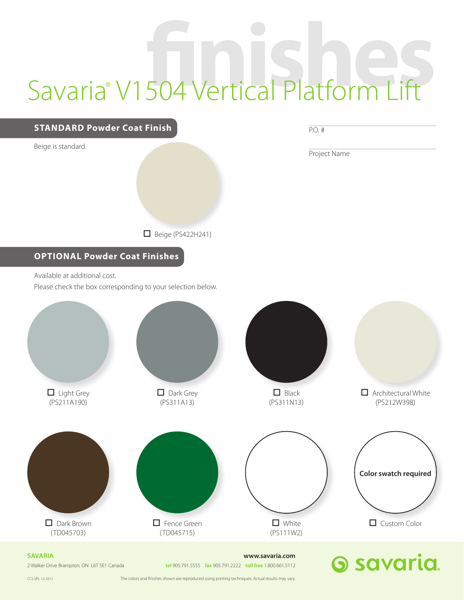## Savaria<sup>®</sup> V1504 Vertical Platform Lift



2 Walker Drive Brampton, ON L6T 5E1 Canada **tel** 905.791.5555 **fax** 905.791.2222 **toll free** 1.800.661.5112

CCS-VPL 12-2012 The colors and nishes shown are reproduced using printing techniques. Actual results may vary.

**6 savaria**